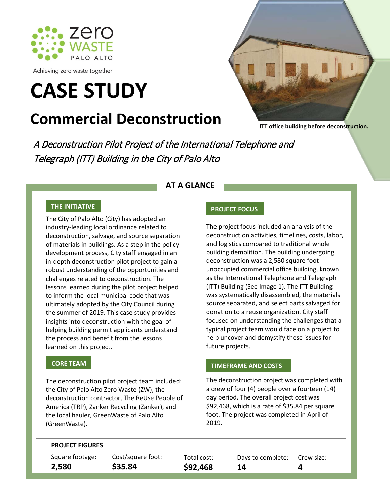

Achieving zero waste together

# **CASE STUDY**

# **Commercial Deconstruction**



**ITT office building before deconstruction.** 

A Deconstruction Pilot Project of the International Telephone and Telegraph (ITT) Building in the City of Palo Alto

### **AT A GLANCE**

## **THE INITIATIVE**

The City of Palo Alto (City) has adopted an industry-leading local ordinance related to deconstruction, salvage, and source separation of materials in buildings. As a step in the policy development process, City staff engaged in an in-depth deconstruction pilot project to gain a robust understanding of the opportunities and challenges related to deconstruction. The lessons learned during the pilot project helped to inform the local municipal code that was ultimately adopted by the City Council during the summer of 2019. This case study provides insights into deconstruction with the goal of helping building permit applicants understand the process and benefit from the lessons learned on this project.

The deconstruction pilot project team included: the City of Palo Alto Zero Waste (ZW), the deconstruction contractor, The ReUse People of America (TRP), Zanker Recycling (Zanker), and the local hauler, GreenWaste of Palo Alto (GreenWaste).

The project focus included an analysis of the deconstruction activities, timelines, costs, labor, and logistics compared to traditional whole building demolition. The building undergoing deconstruction was a 2,580 square foot unoccupied commercial office building, known as the International Telephone and Telegraph (ITT) Building (See Image 1). The ITT Building was systematically disassembled, the materials source separated, and select parts salvaged for donation to a reuse organization. City staff focused on understanding the challenges that a typical project team would face on a project to help uncover and demystify these issues for future projects.

# **CORE TEAM TIMEFRAME AND COSTS**

**14** 

The deconstruction project was completed with a crew of four (4) people over a fourteen (14) day period. The overall project cost was \$92,468, which is a rate of \$35.84 per square foot. The project was completed in April of 2019.

#### **PROJECT FIGURES**

Square footage: **2,580**

Cost/square foot: **\$35.84**

Total cost: **\$92,468**

Days to complete: Crew size: **4**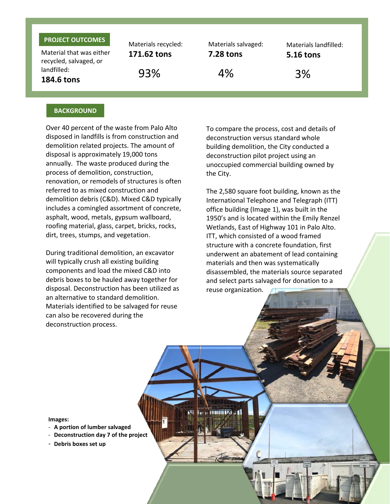#### **PROJECT OUTCOMES**

Material that was either recycled, salvaged, or landfilled: **184.6 tons**

Materials recycled: **171.62 tons** 93% 4% 3%

Materials salvaged: **7.28 tons**

Materials landfilled: **5.16 tons**

#### **BACKGROUND**

Over 40 percent of the waste from Palo Alto disposed in landfills is from construction and demolition related projects. The amount of disposal is approximately 19,000 tons annually. The waste produced during the process of demolition, construction, renovation, or remodels of structures is often referred to as mixed construction and demolition debris (C&D). Mixed C&D typically includes a comingled assortment of concrete, asphalt, wood, metals, gypsum wallboard, roofing material, glass, carpet, bricks, rocks, dirt, trees, stumps, and vegetation.

During traditional demolition, an excavator will typically crush all existing building components and load the mixed C&D into debris boxes to be hauled away together for disposal. Deconstruction has been utilized as an alternative to standard demolition. Materials identified to be salvaged for reuse can also be recovered during the deconstruction process.

To compare the process, cost and details of deconstruction versus standard whole building demolition, the City conducted a deconstruction pilot project using an unoccupied commercial building owned by the City.

The 2,580 square foot building, known as the International Telephone and Telegraph (ITT) office building (Image 1), was built in the 1950's and is located within the Emily Renzel Wetlands, East of Highway 101 in Palo Alto. ITT, which consisted of a wood framed structure with a concrete foundation, first underwent an abatement of lead containing materials and then was systematically disassembled, the materials source separated and select parts salvaged for donation to a reuse organization.

**Image 2: Debris** 

# **box setup Images:**<br> **box setup Images:**

- **A portion of lumber salvaged**
- **Deconstruction day 7 of the project**
- **Debris boxes set up**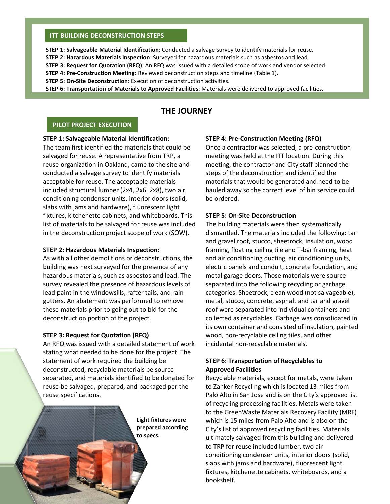#### **ITT BUILDING DECONSTRUCTION STEPS**

**STEP 1: Salvageable Material Identification**: Conducted a salvage survey to identify materials for reuse.

**STEP 2: Hazardous Materials Inspection**: Surveyed for hazardous materials such as asbestos and lead.

**STEP 3: Request for Quotation (RFQ)**: An RFQ was issued with a detailed scope of work and vendor selected.

**STEP 4: Pre-Construction Meeting**: Reviewed deconstruction steps and timeline (Table 1).

**STEP 5: On-Site Deconstruction**: Execution of deconstruction activities.

**STEP 6: Transportation of Materials to Approved Facilities**: Materials were delivered to approved facilities.

#### **THE JOURNEY**

#### **PILOT PROJECT EXECUTION**

#### **STEP 1: Salvageable Material Identification:**

The team first identified the materials that could be salvaged for reuse. A representative from TRP, a reuse organization in Oakland, came to the site and conducted a salvage survey to identify materials acceptable for reuse. The acceptable materials included structural lumber (2x4, 2x6, 2x8), two air conditioning condenser units, interior doors (solid, slabs with jams and hardware), fluorescent light fixtures, kitchenette cabinets, and whiteboards. This list of materials to be salvaged for reuse was included in the deconstruction project scope of work (SOW).

#### **STEP 2: Hazardous Materials Inspection**:

As with all other demolitions or deconstructions, the building was next surveyed for the presence of any hazardous materials, such as asbestos and lead. The survey revealed the presence of hazardous levels of lead paint in the windowsills, rafter tails, and rain gutters. An abatement was performed to remove these materials prior to going out to bid for the deconstruction portion of the project.

#### **STEP 3: Request for Quotation (RFQ)**

An RFQ was issued with a detailed statement of work stating what needed to be done for the project. The statement of work required the building be deconstructed, recyclable materials be source separated, and materials identified to be donated for reuse be salvaged, prepared, and packaged per the reuse specifications.

> **Light fixtures were prepared according to specs.**

#### **STEP 4: Pre-Construction Meeting (RFQ)**

Once a contractor was selected, a pre-construction meeting was held at the ITT location. During this meeting, the contractor and City staff planned the steps of the deconstruction and identified the materials that would be generated and need to be hauled away so the correct level of bin service could be ordered.

#### **STEP 5: On-Site Deconstruction**

The building materials were then systematically dismantled. The materials included the following: tar and gravel roof, stucco, sheetrock, insulation, wood framing, floating ceiling tile and T-bar framing, heat and air conditioning ducting, air conditioning units, electric panels and conduit, concrete foundation, and metal garage doors. Those materials were source separated into the following recycling or garbage categories. Sheetrock, clean wood (not salvageable), metal, stucco, concrete, asphalt and tar and gravel roof were separated into individual containers and collected as recyclables. Garbage was consolidated in its own container and consisted of insulation, painted wood, non-recyclable ceiling tiles, and other incidental non-recyclable materials.

#### **STEP 6: Transportation of Recyclables to Approved Facilities**

Recyclable materials, except for metals, were taken to Zanker Recycling which is located 13 miles from Palo Alto in San Jose and is on the City's approved list of recycling processing facilities. Metals were taken to the GreenWaste Materials Recovery Facility (MRF) which is 15 miles from Palo Alto and is also on the City's list of approved recycling facilities. Materials ultimately salvaged from this building and delivered to TRP for reuse included lumber, two air conditioning condenser units, interior doors (solid, slabs with jams and hardware), fluorescent light fixtures, kitchenette cabinets, whiteboards, and a bookshelf.